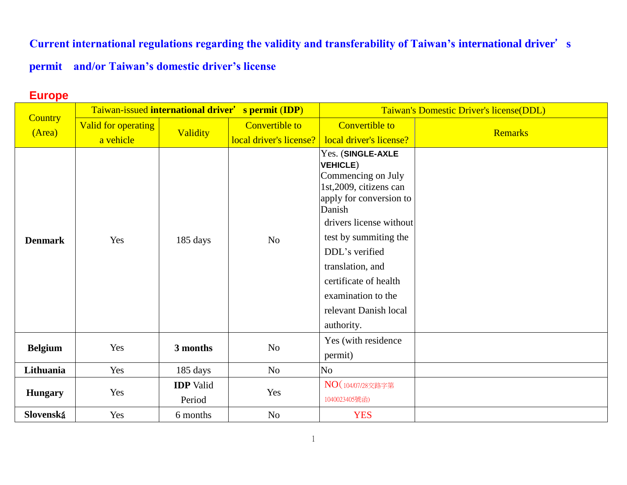**Current international regulations regarding the validity and transferability of Taiwan's international driver**'**s** 

## **permit and/or Taiwan's domestic driver's license**

## **Europe**

| <b>Country</b> | Taiwan-issued international driver' s permit (IDP) |                  |                         | Taiwan's Domestic Driver's license(DDL)                                                                                                                                                                                                                                                                    |                |
|----------------|----------------------------------------------------|------------------|-------------------------|------------------------------------------------------------------------------------------------------------------------------------------------------------------------------------------------------------------------------------------------------------------------------------------------------------|----------------|
| (Area)         | Valid for operating                                | Validity         | <b>Convertible to</b>   | <b>Convertible to</b>                                                                                                                                                                                                                                                                                      | <b>Remarks</b> |
|                | a vehicle                                          |                  | local driver's license? | local driver's license?                                                                                                                                                                                                                                                                                    |                |
| <b>Denmark</b> | Yes                                                | 185 days         | N <sub>o</sub>          | Yes. (SINGLE-AXLE<br><b>VEHICLE)</b><br>Commencing on July<br>1st, 2009, citizens can<br>apply for conversion to<br>Danish<br>drivers license without<br>test by summiting the<br>DDL's verified<br>translation, and<br>certificate of health<br>examination to the<br>relevant Danish local<br>authority. |                |
| <b>Belgium</b> | Yes                                                | 3 months         | N <sub>o</sub>          | Yes (with residence<br>permit)                                                                                                                                                                                                                                                                             |                |
| Lithuania      | Yes                                                | 185 days         | N <sub>o</sub>          | No.                                                                                                                                                                                                                                                                                                        |                |
|                |                                                    | <b>IDP</b> Valid |                         | NO (104/07/28交路字第                                                                                                                                                                                                                                                                                          |                |
| <b>Hungary</b> | Yes                                                | Period           | Yes                     | 1040023405號函)                                                                                                                                                                                                                                                                                              |                |
| Slovenská      | Yes                                                | 6 months         | N <sub>o</sub>          | <b>YES</b>                                                                                                                                                                                                                                                                                                 |                |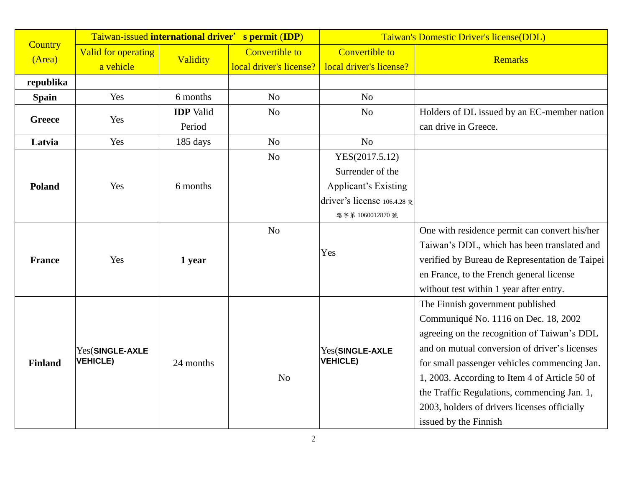|                          |                                  |                  | Taiwan-issued international driver' s permit (IDP) |                                                  | Taiwan's Domestic Driver's license(DDL)        |
|--------------------------|----------------------------------|------------------|----------------------------------------------------|--------------------------------------------------|------------------------------------------------|
| <b>Country</b><br>(Area) | Valid for operating<br>a vehicle | Validity         | <b>Convertible to</b><br>local driver's license?   | <b>Convertible to</b><br>local driver's license? | <b>Remarks</b>                                 |
| republika                |                                  |                  |                                                    |                                                  |                                                |
| <b>Spain</b>             | Yes                              | 6 months         | N <sub>o</sub>                                     | No                                               |                                                |
|                          |                                  | <b>IDP</b> Valid | N <sub>o</sub>                                     | N <sub>o</sub>                                   | Holders of DL issued by an EC-member nation    |
| <b>Greece</b>            | Yes                              | Period           |                                                    |                                                  | can drive in Greece.                           |
| Latvia                   | Yes                              | 185 days         | N <sub>o</sub>                                     | N <sub>o</sub>                                   |                                                |
|                          |                                  |                  | N <sub>o</sub>                                     | YES(2017.5.12)                                   |                                                |
|                          |                                  |                  |                                                    | Surrender of the                                 |                                                |
| Poland                   | Yes                              | 6 months         |                                                    | <b>Applicant's Existing</b>                      |                                                |
|                          |                                  |                  |                                                    | driver's license $106.4.28 \; \text{\&}$         |                                                |
|                          |                                  |                  |                                                    | 路字第 1060012870 號                                 |                                                |
|                          |                                  |                  | N <sub>o</sub>                                     |                                                  | One with residence permit can convert his/her  |
| <b>France</b>            | Yes                              | 1 year           |                                                    | Yes                                              | Taiwan's DDL, which has been translated and    |
|                          |                                  |                  |                                                    |                                                  | verified by Bureau de Representation de Taipei |
|                          |                                  |                  |                                                    |                                                  | en France, to the French general license       |
|                          |                                  |                  |                                                    |                                                  | without test within 1 year after entry.        |
|                          |                                  |                  |                                                    |                                                  | The Finnish government published               |
|                          |                                  |                  |                                                    |                                                  | Communiqué No. 1116 on Dec. 18, 2002           |
|                          |                                  |                  |                                                    |                                                  | agreeing on the recognition of Taiwan's DDL    |
|                          | Yes(SINGLE-AXLE                  |                  |                                                    | Yes(SINGLE-AXLE                                  | and on mutual conversion of driver's licenses  |
| <b>Finland</b>           | <b>VEHICLE)</b>                  | 24 months        |                                                    | <b>VEHICLE)</b>                                  | for small passenger vehicles commencing Jan.   |
|                          |                                  |                  | N <sub>o</sub>                                     |                                                  | 1, 2003. According to Item 4 of Article 50 of  |
|                          |                                  |                  |                                                    |                                                  | the Traffic Regulations, commencing Jan. 1,    |
|                          |                                  |                  |                                                    |                                                  | 2003, holders of drivers licenses officially   |
|                          |                                  |                  |                                                    |                                                  | issued by the Finnish                          |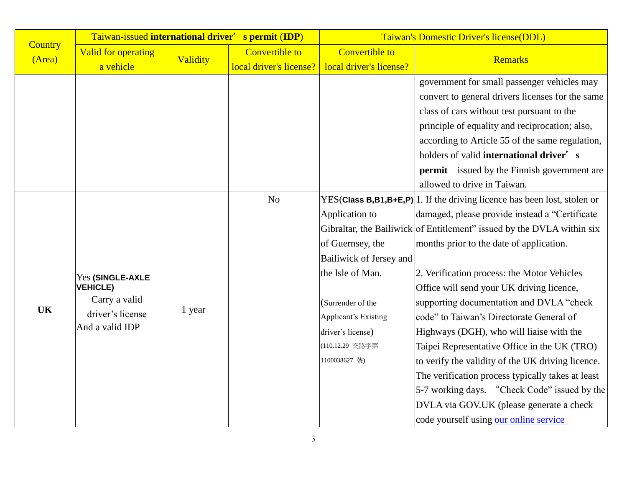|                          | Taiwan-issued international driver'                                                         |          | s permit (IDP)                                   | Taiwan's Domestic Driver's license(DDL)                                                                                                                                                        |                                                                                                                                                                                                                                                                                                                                                                                                                                                                                                                                                                                                                                                                                                                                                                                                     |  |
|--------------------------|---------------------------------------------------------------------------------------------|----------|--------------------------------------------------|------------------------------------------------------------------------------------------------------------------------------------------------------------------------------------------------|-----------------------------------------------------------------------------------------------------------------------------------------------------------------------------------------------------------------------------------------------------------------------------------------------------------------------------------------------------------------------------------------------------------------------------------------------------------------------------------------------------------------------------------------------------------------------------------------------------------------------------------------------------------------------------------------------------------------------------------------------------------------------------------------------------|--|
| <b>Country</b><br>(Area) | Valid for operating<br>a vehicle                                                            | Validity | <b>Convertible to</b><br>local driver's license? | <b>Convertible to</b><br>local driver's license?                                                                                                                                               | <b>Remarks</b>                                                                                                                                                                                                                                                                                                                                                                                                                                                                                                                                                                                                                                                                                                                                                                                      |  |
|                          |                                                                                             |          |                                                  |                                                                                                                                                                                                | government for small passenger vehicles may<br>convert to general drivers licenses for the same<br>class of cars without test pursuant to the<br>principle of equality and reciprocation; also,<br>according to Article 55 of the same regulation,<br>holders of valid international driver's                                                                                                                                                                                                                                                                                                                                                                                                                                                                                                       |  |
|                          |                                                                                             |          |                                                  |                                                                                                                                                                                                | <b>permit</b> issued by the Finnish government are<br>allowed to drive in Taiwan.                                                                                                                                                                                                                                                                                                                                                                                                                                                                                                                                                                                                                                                                                                                   |  |
| <b>UK</b>                | Yes (SINGLE-AXLE<br><b>VEHICLE)</b><br>Carry a valid<br>driver's license<br>And a valid IDP | 1 year   | N <sub>o</sub>                                   | Application to<br>of Guernsey, the<br>Bailiwick of Jersey and<br>the 1sle of Man.<br>(Surrender of the<br><b>Applicant's Existing</b><br>driver's license)<br>(110.12.29 交路字第<br>1100038627 號) | YES(Class $B$ , $B$ 1, $B$ + $E$ , $P$ ) 1. If the driving licence has been lost, stolen or<br>damaged, please provide instead a "Certificate<br>Gibraltar, the Bailiwick of Entitlement" issued by the DVLA within six<br>months prior to the date of application.<br>2. Verification process: the Motor Vehicles<br>Office will send your UK driving licence,<br>supporting documentation and DVLA "check<br>code" to Taiwan's Directorate General of<br>Highways (DGH), who will liaise with the<br>Taipei Representative Office in the UK (TRO)<br>to verify the validity of the UK driving licence.<br>The verification process typically takes at least<br>5-7 working days. "Check Code" issued by the<br>DVLA via GOV.UK (please generate a check<br>code yourself using our online service |  |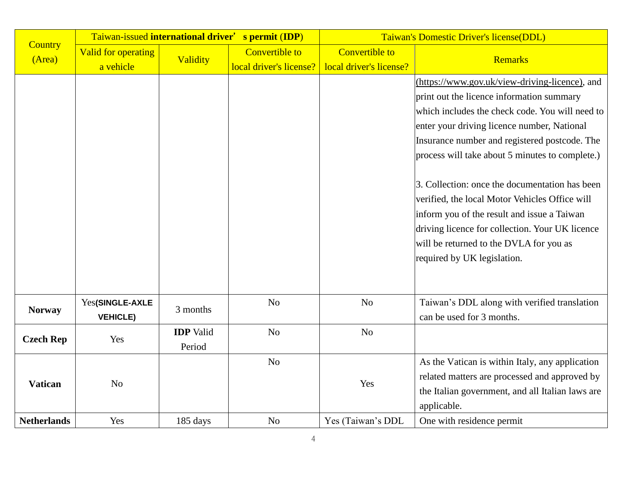|                          | Taiwan-issued international driver' s permit (IDP) |                  |                         | Taiwan's Domestic Driver's license(DDL) |                                                                                                                                                                                                                                                                              |  |
|--------------------------|----------------------------------------------------|------------------|-------------------------|-----------------------------------------|------------------------------------------------------------------------------------------------------------------------------------------------------------------------------------------------------------------------------------------------------------------------------|--|
| <b>Country</b><br>(Area) | <b>Valid for operating</b>                         | Validity         | <b>Convertible to</b>   | <b>Convertible to</b>                   | <b>Remarks</b>                                                                                                                                                                                                                                                               |  |
|                          | a vehicle                                          |                  | local driver's license? | local driver's license?                 |                                                                                                                                                                                                                                                                              |  |
|                          |                                                    |                  |                         |                                         | (https://www.gov.uk/view-driving-licence), and                                                                                                                                                                                                                               |  |
|                          |                                                    |                  |                         |                                         | print out the licence information summary                                                                                                                                                                                                                                    |  |
|                          |                                                    |                  |                         |                                         | which includes the check code. You will need to                                                                                                                                                                                                                              |  |
|                          |                                                    |                  |                         |                                         | enter your driving licence number, National                                                                                                                                                                                                                                  |  |
|                          |                                                    |                  |                         |                                         | Insurance number and registered postcode. The                                                                                                                                                                                                                                |  |
|                          |                                                    |                  |                         |                                         | process will take about 5 minutes to complete.)                                                                                                                                                                                                                              |  |
|                          |                                                    |                  |                         |                                         | 3. Collection: once the documentation has been<br>verified, the local Motor Vehicles Office will<br>inform you of the result and issue a Taiwan<br>driving licence for collection. Your UK licence<br>will be returned to the DVLA for you as<br>required by UK legislation. |  |
| <b>Norway</b>            | Yes(SINGLE-AXLE<br><b>VEHICLE)</b>                 | 3 months         | N <sub>o</sub>          | N <sub>o</sub>                          | Taiwan's DDL along with verified translation<br>can be used for 3 months.                                                                                                                                                                                                    |  |
|                          |                                                    | <b>IDP</b> Valid | N <sub>o</sub>          | N <sub>o</sub>                          |                                                                                                                                                                                                                                                                              |  |
| <b>Czech Rep</b>         | Yes                                                | Period           |                         |                                         |                                                                                                                                                                                                                                                                              |  |
| <b>Vatican</b>           |                                                    |                  | N <sub>o</sub>          |                                         | As the Vatican is within Italy, any application                                                                                                                                                                                                                              |  |
|                          |                                                    | N <sub>o</sub>   |                         | Yes                                     | related matters are processed and approved by                                                                                                                                                                                                                                |  |
|                          |                                                    |                  |                         |                                         | the Italian government, and all Italian laws are                                                                                                                                                                                                                             |  |
|                          |                                                    |                  |                         |                                         | applicable.                                                                                                                                                                                                                                                                  |  |
| <b>Netherlands</b>       | Yes                                                | 185 days         | N <sub>o</sub>          | Yes (Taiwan's DDL                       | One with residence permit                                                                                                                                                                                                                                                    |  |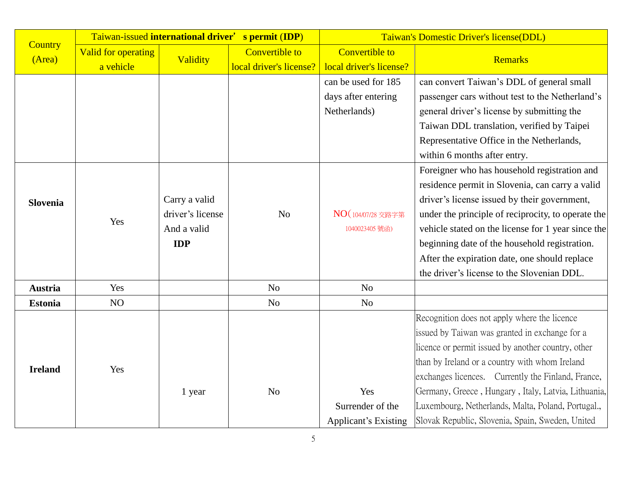|                          | Taiwan-issued international driver' s permit (IDP) |                  |                         | Taiwan's Domestic Driver's license(DDL) |                                                     |
|--------------------------|----------------------------------------------------|------------------|-------------------------|-----------------------------------------|-----------------------------------------------------|
| <b>Country</b><br>(Area) | <b>Valid for operating</b>                         | Validity         | <b>Convertible to</b>   | <b>Convertible to</b>                   | <b>Remarks</b>                                      |
|                          | a vehicle                                          |                  | local driver's license? | local driver's license?                 |                                                     |
|                          |                                                    |                  |                         | can be used for 185                     | can convert Taiwan's DDL of general small           |
|                          |                                                    |                  |                         | days after entering                     | passenger cars without test to the Netherland's     |
|                          |                                                    |                  |                         | Netherlands)                            | general driver's license by submitting the          |
|                          |                                                    |                  |                         |                                         | Taiwan DDL translation, verified by Taipei          |
|                          |                                                    |                  |                         |                                         | Representative Office in the Netherlands,           |
|                          |                                                    |                  |                         |                                         | within 6 months after entry.                        |
|                          |                                                    |                  |                         |                                         | Foreigner who has household registration and        |
|                          |                                                    |                  |                         |                                         | residence permit in Slovenia, can carry a valid     |
| <b>Slovenia</b>          | Yes                                                | Carry a valid    |                         |                                         | driver's license issued by their government,        |
|                          |                                                    | driver's license | N <sub>o</sub>          | NO (104/07/28 交路字第                      | under the principle of reciprocity, to operate the  |
|                          |                                                    | And a valid      |                         | 1040023405 號函)                          | vehicle stated on the license for 1 year since the  |
|                          |                                                    | <b>IDP</b>       |                         |                                         | beginning date of the household registration.       |
|                          |                                                    |                  |                         |                                         | After the expiration date, one should replace       |
|                          |                                                    |                  |                         |                                         | the driver's license to the Slovenian DDL.          |
| <b>Austria</b>           | Yes                                                |                  | N <sub>o</sub>          | N <sub>o</sub>                          |                                                     |
| <b>Estonia</b>           | NO                                                 |                  | N <sub>o</sub>          | N <sub>o</sub>                          |                                                     |
|                          |                                                    |                  |                         |                                         | Recognition does not apply where the licence        |
|                          |                                                    |                  |                         |                                         | issued by Taiwan was granted in exchange for a      |
| <b>Ireland</b>           |                                                    |                  |                         |                                         | licence or permit issued by another country, other  |
|                          | Yes                                                |                  |                         |                                         | than by Ireland or a country with whom Ireland      |
|                          |                                                    |                  |                         |                                         | exchanges licences. Currently the Finland, France,  |
|                          |                                                    | 1 year           | N <sub>o</sub>          | Yes                                     | Germany, Greece, Hungary, Italy, Latvia, Lithuania, |
|                          |                                                    |                  |                         | Surrender of the                        | Luxembourg, Netherlands, Malta, Poland, Portugal.,  |
|                          |                                                    |                  |                         | <b>Applicant's Existing</b>             | Slovak Republic, Slovenia, Spain, Sweden, United    |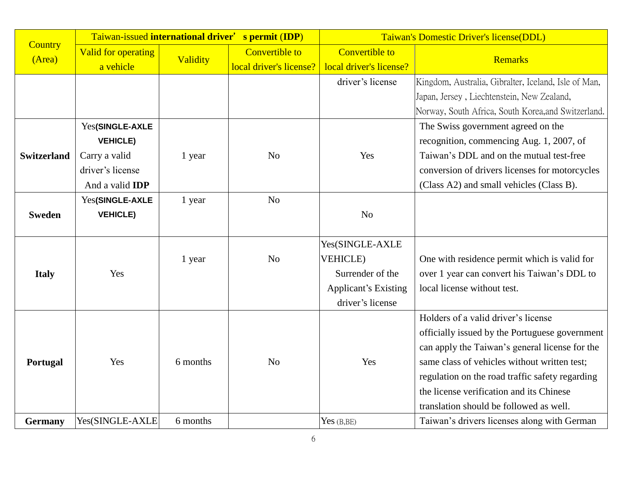|                    | Taiwan-issued international driver' |          | s permit (IDP)          | Taiwan's Domestic Driver's license(DDL) |                                                      |  |
|--------------------|-------------------------------------|----------|-------------------------|-----------------------------------------|------------------------------------------------------|--|
| <b>Country</b>     | <b>Valid for operating</b>          | Validity | <b>Convertible to</b>   | <b>Convertible to</b>                   | <b>Remarks</b>                                       |  |
| (Area)             | a vehicle                           |          | local driver's license? | local driver's license?                 |                                                      |  |
|                    |                                     |          |                         | driver's license                        | Kingdom, Australia, Gibralter, Iceland, Isle of Man, |  |
|                    |                                     |          |                         |                                         | Japan, Jersey, Liechtenstein, New Zealand,           |  |
|                    |                                     |          |                         |                                         | Norway, South Africa, South Korea, and Switzerland.  |  |
|                    | Yes(SINGLE-AXLE                     |          |                         |                                         | The Swiss government agreed on the                   |  |
|                    | <b>VEHICLE)</b>                     |          |                         |                                         | recognition, commencing Aug. 1, 2007, of             |  |
| <b>Switzerland</b> | Carry a valid                       | 1 year   | N <sub>o</sub>          | Yes                                     | Taiwan's DDL and on the mutual test-free             |  |
|                    | driver's license                    |          |                         |                                         | conversion of drivers licenses for motorcycles       |  |
|                    | And a valid <b>IDP</b>              |          |                         |                                         | (Class A2) and small vehicles (Class B).             |  |
|                    | Yes(SINGLE-AXLE                     | 1 year   | N <sub>o</sub>          |                                         |                                                      |  |
| <b>Sweden</b>      | <b>VEHICLE)</b>                     |          |                         | N <sub>o</sub>                          |                                                      |  |
|                    |                                     |          |                         |                                         |                                                      |  |
|                    |                                     |          |                         | Yes(SINGLE-AXLE                         |                                                      |  |
|                    |                                     | 1 year   | N <sub>o</sub>          | <b>VEHICLE</b> )                        | One with residence permit which is valid for         |  |
| <b>Italy</b>       | Yes                                 |          |                         | Surrender of the                        | over 1 year can convert his Taiwan's DDL to          |  |
|                    |                                     |          |                         | <b>Applicant's Existing</b>             | local license without test.                          |  |
|                    |                                     |          |                         | driver's license                        |                                                      |  |
|                    |                                     |          |                         |                                         | Holders of a valid driver's license                  |  |
|                    |                                     |          |                         |                                         | officially issued by the Portuguese government       |  |
|                    |                                     |          |                         |                                         | can apply the Taiwan's general license for the       |  |
| Portugal           | Yes                                 | 6 months | N <sub>o</sub>          | Yes                                     | same class of vehicles without written test;         |  |
|                    |                                     |          |                         |                                         | regulation on the road traffic safety regarding      |  |
|                    |                                     |          |                         |                                         | the license verification and its Chinese             |  |
|                    |                                     |          |                         |                                         | translation should be followed as well.              |  |
| <b>Germany</b>     | Yes(SINGLE-AXLE                     | 6 months |                         | Yes $(B, BE)$                           | Taiwan's drivers licenses along with German          |  |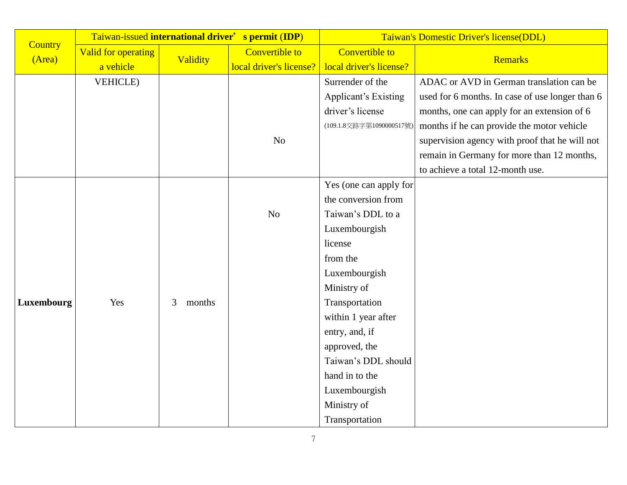| <b>Country</b> |                                  |             | Taiwan-issued international driver' s permit (IDP) | Taiwan's Domestic Driver's license(DDL)          |                                                 |
|----------------|----------------------------------|-------------|----------------------------------------------------|--------------------------------------------------|-------------------------------------------------|
| (Area)         | Valid for operating<br>a vehicle | Validity    | <b>Convertible to</b><br>local driver's license?   | <b>Convertible to</b><br>local driver's license? | <b>Remarks</b>                                  |
|                | <b>VEHICLE</b> )                 |             |                                                    | Surrender of the                                 | ADAC or AVD in German translation can be        |
|                |                                  |             |                                                    | <b>Applicant's Existing</b>                      | used for 6 months. In case of use longer than 6 |
|                |                                  |             |                                                    | driver's license                                 | months, one can apply for an extension of 6     |
|                |                                  |             |                                                    | (109.1.8交路字第1090000517號)                         | months if he can provide the motor vehicle      |
|                |                                  |             | No                                                 |                                                  | supervision agency with proof that he will not  |
|                |                                  |             |                                                    |                                                  | remain in Germany for more than 12 months,      |
|                |                                  |             |                                                    |                                                  | to achieve a total 12-month use.                |
|                |                                  |             |                                                    | Yes (one can apply for                           |                                                 |
|                |                                  |             |                                                    | the conversion from                              |                                                 |
|                |                                  |             | No                                                 | Taiwan's DDL to a                                |                                                 |
|                |                                  |             |                                                    | Luxembourgish                                    |                                                 |
|                |                                  |             |                                                    | license                                          |                                                 |
|                |                                  |             |                                                    | from the                                         |                                                 |
|                |                                  |             |                                                    | Luxembourgish                                    |                                                 |
|                |                                  |             |                                                    | Ministry of                                      |                                                 |
| Luxembourg     | Yes                              | 3<br>months |                                                    | Transportation                                   |                                                 |
|                |                                  |             |                                                    | within 1 year after                              |                                                 |
|                |                                  |             |                                                    | entry, and, if                                   |                                                 |
|                |                                  |             |                                                    | approved, the                                    |                                                 |
|                |                                  |             |                                                    | Taiwan's DDL should                              |                                                 |
|                |                                  |             |                                                    | hand in to the                                   |                                                 |
|                |                                  |             |                                                    | Luxembourgish                                    |                                                 |
|                |                                  |             |                                                    | Ministry of                                      |                                                 |
|                |                                  |             |                                                    | Transportation                                   |                                                 |